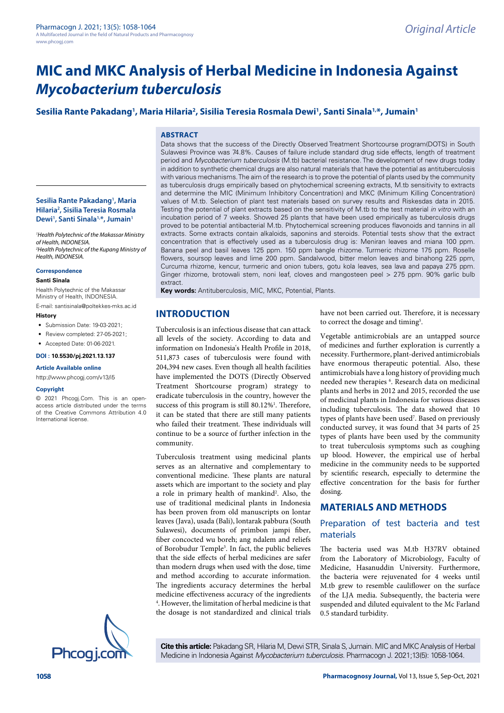Data shows that the success of the Directly Observed Treatment Shortcourse program(DOTS) in South Sulawesi Province was 74.8%. Causes of failure include standard drug side effects, length of treatment period and *Mycobacterium tuberculosis* (M.tb) bacterial resistance. The development of new drugs today in addition to synthetic chemical drugs are also natural materials that have the potential as antituberculosis with various mechanisms. The aim of the research is to prove the potential of plants used by the community as tuberculosis drugs empirically based on phytochemical screening extracts, M.tb sensitivity to extracts and determine the MIC (Minimum Inhibitory Concentration) and MKC (Minimum Killing Concentration) values of M.tb. Selection of plant test materials based on survey results and Riskesdas data in 2015. Testing the potential of plant extracts based on the sensitivity of M.tb to the test material *in vitro* with an incubation period of 7 weeks. Showed 25 plants that have been used empirically as tuberculosis drugs proved to be potential antibacterial M.tb. Phytochemical screening produces flavonoids and tannins in all extracts. Some extracts contain alkaloids, saponins and steroids. Potential tests show that the extract concentration that is effectively used as a tuberculosis drug is: Meniran leaves and miana 100 ppm. Banana peel and basil leaves 125 ppm. 150 ppm bangle rhizome. Turmeric rhizome 175 ppm. Roselle flowers, soursop leaves and lime 200 ppm. Sandalwood, bitter melon leaves and binahong 225 ppm, Curcuma rhizome, kencur, turmeric and onion tubers, gotu kola leaves, sea lava and papaya 275 ppm. Ginger rhizome, brotowali stem, noni leaf, cloves and mangosteen peel > 275 ppm. 90% garlic bulb

# **Sesilia Rante Pakadang1 , Maria Hilaria2 , Sisilia Teresia Rosmala Dewi1 , Santi Sinala1,\*, Jumain1**

### **ABSTRACT**

**INTRODUCTION**

extract.

community.

Tuberculosis is an infectious disease that can attack all levels of the society. According to data and information on Indonesia's Health Profile in 2018, 511,873 cases of tuberculosis were found with 204,394 new cases. Even though all health facilities have implemented the DOTS (Directly Observed Treatment Shortcourse program) strategy to eradicate tuberculosis in the country, however the success of this program is still 80.12%<sup>1</sup>. Therefore, it can be stated that there are still many patients who failed their treatment. These individuals will continue to be a source of further infection in the

**Key words:** Antituberculosis, MIC, MKC, Potential, Plants.

Tuberculosis treatment using medicinal plants serves as an alternative and complementary to conventional medicine. These plants are natural assets which are important to the society and play a role in primary health of mankind<sup>2</sup>. Also, the use of traditional medicinal plants in Indonesia has been proven from old manuscripts on lontar leaves (Java), usada (Bali), lontarak pabbura (South Sulawesi), documents of primbon jampi fiber, fiber concocted wu boreh; ang ndalem and reliefs of Borobudur Temple3 . In fact, the public believes that the side effects of herbal medicines are safer than modern drugs when used with the dose, time and method according to accurate information. The ingredients accuracy determines the herbal medicine effectiveness accuracy of the ingredients 4 . However, the limitation of herbal medicine is that the dosage is not standardized and clinical trials

**Sesilia Rante Pakadang1 , Maria Hilaria2 , Sisilia Teresia Rosmala**  Dewi<sup>1</sup>, Santi Sinala<sup>1,\*</sup>, Jumain<sup>1</sup>

*1 Health Polytechnic of the Makassar Ministry of Health, INDONESIA. 2 Health Polytechnic of the Kupang Ministry of Health, INDONESIA.*

#### **Correspondence**

#### **Santi Sinala**

Health Polytechnic of the Makassar Ministry of Health, INDONESIA.

E-mail: santisinala@poltekkes-mks.ac.id

#### **History**

- Submission Date: 19-03-2021;
- Review completed: 27-05-2021;
- Accepted Date: 01-06-2021.

### **DOI : 10.5530/pj.2021.13.137**

#### **Article Available online**

[http://www.phcogj.com/v13/i5](http://www.phcogj.com/v13/i4)

#### **Copyright**

© 2021 Phcogj.Com. This is an openaccess article distributed under the terms of the Creative Commons Attribution 4.0 International license.



**Cite this article:** Pakadang SR, Hilaria M, Dewi STR, Sinala S, Jumain. MIC and MKC Analysis of Herbal Medicine in Indonesia Against *Mycobacterium tuberculosis*. Pharmacogn J. 2021;13(5): 1058-1064.

have not been carried out. Therefore, it is necessary to correct the dosage and timing<sup>5</sup>.

Vegetable antimicrobials are an untapped source of medicines and further exploration is currently a necessity. Furthermore, plant-derived antimicrobials have enormous therapeutic potential. Also, these antimicrobials have a long history of providing much needed new therapies <sup>6</sup>. Research data on medicinal plants and herbs in 2012 and 2015, recorded the use of medicinal plants in Indonesia for various diseases including tuberculosis. The data showed that 10 types of plants have been used<sup>7</sup>. Based on previously conducted survey, it was found that 34 parts of 25 types of plants have been used by the community to treat tuberculosis symptoms such as coughing up blood. However, the empirical use of herbal medicine in the community needs to be supported by scientific research, especially to determine the effective concentration for the basis for further dosing.

### **MATERIALS AND METHODS**

### Preparation of test bacteria and test materials

The bacteria used was M.tb H37RV obtained from the Laboratory of Microbiology, Faculty of Medicine, Hasanuddin University. Furthermore, the bacteria were rejuvenated for 4 weeks until M.tb grew to resemble cauliflower on the surface of the LJA media. Subsequently, the bacteria were suspended and diluted equivalent to the Mc Farland 0.5 standard turbidity.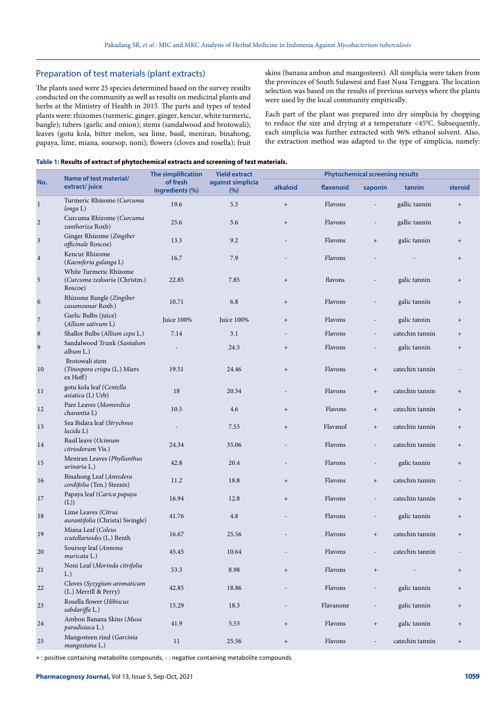## Preparation of test materials (plant extracts)

The plants used were 25 species determined based on the survey results conducted on the community as well as results on medicinal plants and herbs at the Ministry of Health in 2015. The parts and types of tested plants were: rhizomes (turmeric, ginger, ginger, kencur, white turmeric, bangle); tubers (garlic and onion); stems (sandalwood and brotowali); leaves (gotu kola, bitter melon, sea lime, basil, meniran, binahong, papaya, lime, miana, soursop, noni); flowers (cloves and rosella); fruit skins (banana ambon and mangosteen). All simplicia were taken from the provinces of South Sulawesi and East Nusa Tenggara. The location selection was based on the results of previous surveys where the plants were used by the local community empirically.

Each part of the plant was prepared into dry simplicia by chopping to reduce the size and drying at a temperature <45°C. Subsequently, each simplicia was further extracted with 96% ethanol solvent. Also, the extraction method was adapted to the type of simplicia, namely:

### **Table 1: Results of extract of phytochemical extracts and screening of test materials.**

| No.            | Name of test material/<br>extract/juice                           | The simplification<br>of fresh<br>ingredients (%) | <b>Yield extract</b><br>against simplicia<br>(%) | <b>Phytochemical screening results</b> |           |                                  |                 |                                  |
|----------------|-------------------------------------------------------------------|---------------------------------------------------|--------------------------------------------------|----------------------------------------|-----------|----------------------------------|-----------------|----------------------------------|
|                |                                                                   |                                                   |                                                  | alkaloid                               | flavonoid | saponin                          | tannin          | steroid                          |
| $\,1$          | Turmeric Rhizome (Curcuma<br>longa L)                             | 19.6                                              | 5.3                                              | $+$                                    | Flavons   |                                  | gallic tannin   | $+$                              |
| $\sqrt{2}$     | Curcuma Rhizome (Curcuma<br>zanthoriza Roxb)                      | 25.6                                              | 5.6                                              | $+$                                    | Flavons   | $\overline{\phantom{a}}$         | gallic tannin   | $+$                              |
| $\sqrt{3}$     | Ginger Rhizome (Zingiber<br>officinale Roscoe)                    | 13.3                                              | 9.2                                              |                                        | Flavons   | $+$                              | galic tannin    | $+$                              |
| $\,4$          | Kencur Rhizome<br>(Kaemferia galanga L)                           | 16.7                                              | 7.9                                              |                                        | Flavons   | $\overline{a}$                   |                 | $+$                              |
| $\sqrt{5}$     | White Turmeric Rhizome<br>(Curcuma zedoaria (Christm.)<br>Roscoe) | 22.85                                             | 7.85                                             | $+$                                    | flavons   | $\overline{a}$                   | galic tannin    | $+$                              |
| $\sqrt{6}$     | Rhizome Bangle (Zingiber<br>casumounar Roxb.)                     | 10.71                                             | 6.8                                              | $^{+}$                                 | Flavons   | $\overline{a}$                   | galic tannin    | $\begin{array}{c} + \end{array}$ |
| $\sqrt{2}$     | Garlic Bulbs (juice)<br>(Allium sativum L)                        | Juice 100%                                        | Juice 100%                                       | $^{+}$                                 | Flavons   | $\blacksquare$                   | galic tannin    | $+$                              |
| $\,$ 8 $\,$    | Shallot Bulbs (Allium cepa L.)                                    | 7.14                                              | 3.1                                              |                                        | Flavons   | $\overline{\phantom{a}}$         | catechin tannin | $+$                              |
| $\overline{9}$ | Sandalwood Trunk (Santalum<br>album L.)                           |                                                   | 24.5                                             | $\begin{array}{c} + \end{array}$       | Flavons   | $\overline{a}$                   | galic tannin    | $+$                              |
| 10             | Brotowali stem<br>(Tinospora crispa (L.) Miers<br>$ex$ Hoff)      | 19.51                                             | 24.46                                            | $\begin{array}{c} + \end{array}$       | Flavons   | $+$                              | catechin tannin |                                  |
| 11             | gotu kola leaf (Centella<br>asiatica (L) Urb)                     | 18                                                | 20.34                                            | $\overline{\phantom{a}}$               | Flavons   | $+$                              | catechin tannin | $+$                              |
| 12             | Pare Leaves (Momordica<br>charantia L)                            | 10.5                                              | 4.6                                              | $+$                                    | Flavons   | $+$                              | catechin tannin | $+$                              |
| 13             | Sea Bidara leaf (Strychnos<br>lucida L)                           |                                                   | 7.53                                             | $+$                                    | Flavanol  | $+$                              | catechin tannin | $+$                              |
| 14             | Basil leave (Ocimum<br>citriodorum Vis.)                          | 24.34                                             | 35.06                                            |                                        | Flavons   | $\blacksquare$                   | catechin tannin | $^{+}$                           |
| 15             | Meniran Leaves (Phyllanthus<br>urinaria L.)                       | 42.8                                              | 20.4                                             |                                        | Flavons   | $\overline{\phantom{a}}$         | galic tannin    | $+$                              |
| 16             | Binahong Leaf (Anredera<br>cordifolia (Ten.) Steenis)             | 11.2                                              | 18.8                                             | $\begin{array}{c} + \end{array}$       | Flavons   | $+$                              | catechin tannin |                                  |
| 17             | Papaya leaf (Carica papaya<br>(L))                                | 16.94                                             | 12.8                                             | $\begin{array}{c} + \end{array}$       | Flavons   | $\overline{\phantom{a}}$         | catechin tannin | $^{+}$                           |
| 18             | Lime Leaves (Citrus<br>aurantifolia (Christa) Swingle)            | 41.76                                             | 4.8                                              |                                        | Flavons   | $\overline{\phantom{a}}$         | galic tannin    | $^+$                             |
| 19             | Miana Leaf (Coleus<br>scutellarioides (L.) Benth                  | 16.67                                             | 25.56                                            |                                        | Flavons   | $+$                              | catechin tannin | $^{+}$                           |
| 20             | Soursop leaf (Annona<br>muricata L.)                              | 45.45                                             | 10.64                                            |                                        | Flavons   | $\overline{\phantom{0}}$         | catechin tannin |                                  |
| $21\,$         | Noni Leaf (Morinda citrifolia<br>L.)                              | 53.3                                              | 8.98                                             | $\qquad \qquad +$                      | Flavons   | $\begin{array}{c} + \end{array}$ |                 | $^{+}$                           |
| $22\,$         | Cloves (Syzygium aromaticum<br>(L.) Merrill & Perry)              | 42.85                                             | 18.86                                            | $\overline{\phantom{m}}$               | Flavons   | $\overline{\phantom{a}}$         | galic tannin    | $^{+}$                           |
| 23             | Rosella flower (Hibiscus<br>sabdariffa L.)                        | 15.29                                             | 18.3                                             |                                        | Flavanone | $\overline{\phantom{a}}$         | galic tannin    | $+$                              |
| 24             | Ambon Banana Skins (Musa<br>paradisiaca L.)                       | 41.9                                              | 5.53                                             | $^+$                                   | Flavons   | $+$                              | galic tannin    | $+$                              |
| 25             | Mangosteen rind (Garcinia<br>mangostana L.)                       | 11                                                | 25.56                                            | $\qquad \qquad +$                      | Flavons   | $\overline{a}$                   | catechin tannin | $\qquad \qquad +$                |

+ : positive containing metabolite compounds, - : negative containing metabolite compounds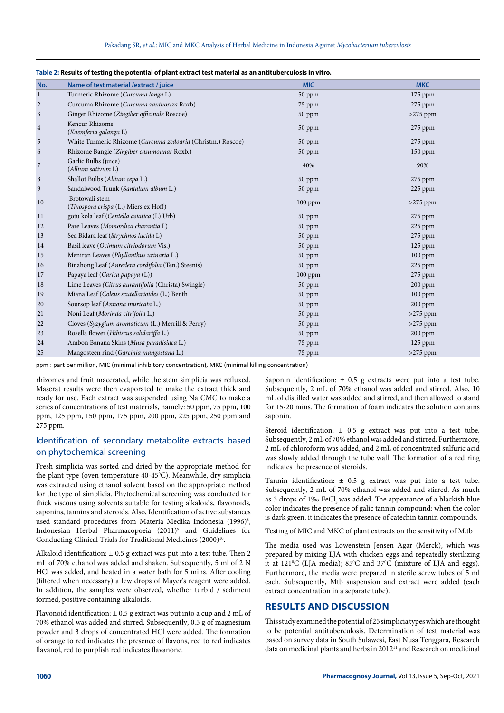| No.            | Name of test material / extract / juice                     | <b>MIC</b> | <b>MKC</b> |  |  |  |  |  |
|----------------|-------------------------------------------------------------|------------|------------|--|--|--|--|--|
| 1              | Turmeric Rhizome (Curcuma longa L)                          | 50 ppm     | $175$ ppm  |  |  |  |  |  |
| $\overline{2}$ | Curcuma Rhizome (Curcuma zanthoriza Roxb)                   | 75 ppm     | 275 ppm    |  |  |  |  |  |
| $\mathfrak{Z}$ | Ginger Rhizome (Zingiber officinale Roscoe)                 | 50 ppm     | $>275$ ppm |  |  |  |  |  |
| $\,4$          | Kencur Rhizome<br>(Kaemferia galanga L)                     | 50 ppm     | 275 ppm    |  |  |  |  |  |
| $\sqrt{5}$     | White Turmeric Rhizome (Curcuma zedoaria (Christm.) Roscoe) | 50 ppm     | 275 ppm    |  |  |  |  |  |
| 6              | Rhizome Bangle (Zingiber casumounar Roxb.)                  | 50 ppm     | $150$ ppm  |  |  |  |  |  |
| $\sqrt{ }$     | Garlic Bulbs (juice)<br>(Allium sativum L)                  | 40%        | 90%        |  |  |  |  |  |
| $\,8\,$        | Shallot Bulbs (Allium cepa L.)                              | 50 ppm     | 275 ppm    |  |  |  |  |  |
| 9              | Sandalwood Trunk (Santalum album L.)                        | 50 ppm     | 225 ppm    |  |  |  |  |  |
| 10             | Brotowali stem<br>(Tinospora crispa (L.) Miers ex Hoff)     | $100$ ppm  | $>275$ ppm |  |  |  |  |  |
| 11             | gotu kola leaf (Centella asiatica (L) Urb)                  | 50 ppm     | 275 ppm    |  |  |  |  |  |
| 12             | Pare Leaves (Momordica charantia L)                         | 50 ppm     | 225 ppm    |  |  |  |  |  |
| 13             | Sea Bidara leaf (Strychnos lucida L)                        | 50 ppm     | $275$ ppm  |  |  |  |  |  |
| 14             | Basil leave (Ocimum citriodorum Vis.)                       | 50 ppm     | 125 ppm    |  |  |  |  |  |
| 15             | Meniran Leaves (Phyllanthus urinaria L.)                    | 50 ppm     | 100 ppm    |  |  |  |  |  |
| 16             | Binahong Leaf (Anredera cordifolia (Ten.) Steenis)          | 50 ppm     | 225 ppm    |  |  |  |  |  |
| 17             | Papaya leaf (Carica papaya (L))                             | $100$ ppm  | $275$ ppm  |  |  |  |  |  |
| 18             | Lime Leaves (Citrus aurantifolia (Christa) Swingle)         | 50 ppm     | 200 ppm    |  |  |  |  |  |
| 19             | Miana Leaf (Coleus scutellarioides (L.) Benth               | 50 ppm     | $100$ ppm  |  |  |  |  |  |
| 20             | Soursop leaf (Annona muricata L.)                           | 50 ppm     | $200$ ppm  |  |  |  |  |  |
| 21             | Noni Leaf (Morinda citrifolia L.)                           | 50 ppm     | $>275$ ppm |  |  |  |  |  |
| 22             | Cloves (Syzygium aromaticum (L.) Merrill & Perry)           | 50 ppm     | $>275$ ppm |  |  |  |  |  |
| 23             | Rosella flower (Hibiscus sabdariffa L.)                     | 50 ppm     | $200$ ppm  |  |  |  |  |  |
| 24             | Ambon Banana Skins (Musa paradisiaca L.)                    | 75 ppm     | $125$ ppm  |  |  |  |  |  |
| 25             | Mangosteen rind (Garcinia mangostana L.)                    | 75 ppm     | $>275$ ppm |  |  |  |  |  |
|                |                                                             |            |            |  |  |  |  |  |

### **Table 2: Results of testing the potential of plant extract test material as an antituberculosis in vitro.**

ppm : part per million, MIC (minimal inhibitory concentration), MKC (minimal killing concentration)

rhizomes and fruit macerated, while the stem simplicia was refluxed. Maserat results were then evaporated to make the extract thick and ready for use. Each extract was suspended using Na CMC to make a series of concentrations of test materials, namely: 50 ppm, 75 ppm, 100 ppm, 125 ppm, 150 ppm, 175 ppm, 200 ppm, 225 ppm, 250 ppm and 275 ppm.

# Identification of secondary metabolite extracts based on phytochemical screening

Fresh simplicia was sorted and dried by the appropriate method for the plant type (oven temperature 40-45°C). Meanwhile, dry simplicia was extracted using ethanol solvent based on the appropriate method for the type of simplicia. Phytochemical screening was conducted for thick viscous using solvents suitable for testing alkaloids, flavonoids, saponins, tannins and steroids. Also, Identification of active substances used standard procedures from Materia Medika Indonesia (1996)<sup>8</sup>, Indonesian Herbal Pharmacopoeia (2011)<sup>9</sup> and Guidelines for Conducting Clinical Trials for Traditional Medicines (2000)<sup>10</sup>.

Alkaloid identification:  $\pm 0.5$  g extract was put into a test tube. Then 2 mL of 70% ethanol was added and shaken. Subsequently, 5 ml of 2 N HCl was added, and heated in a water bath for 5 mins. After cooling (filtered when necessary) a few drops of Mayer's reagent were added. In addition, the samples were observed, whether turbid / sediment formed, positive containing alkaloids.

Flavonoid identification:  $\pm$  0.5 g extract was put into a cup and 2 mL of 70% ethanol was added and stirred. Subsequently, 0.5 g of magnesium powder and 3 drops of concentrated HCl were added. The formation of orange to red indicates the presence of flavons, red to red indicates flavanol, red to purplish red indicates flavanone.

Saponin identification:  $\pm$  0.5 g extracts were put into a test tube. Subsequently, 2 mL of 70% ethanol was added and stirred. Also, 10 mL of distilled water was added and stirred, and then allowed to stand for 15-20 mins. The formation of foam indicates the solution contains saponin.

Steroid identification: ± 0.5 g extract was put into a test tube. Subsequently, 2 mL of 70% ethanol was added and stirred. Furthermore, 2 mL of chloroform was added, and 2 mL of concentrated sulfuric acid was slowly added through the tube wall. The formation of a red ring indicates the presence of steroids.

Tannin identification: ± 0.5 g extract was put into a test tube. Subsequently, 2 mL of 70% ethanol was added and stirred. As much as 3 drops of 1‰ FeCl, was added. The appearance of a blackish blue color indicates the presence of galic tannin compound; when the color is dark green, it indicates the presence of catechin tannin compounds.

Testing of MIC and MKC of plant extracts on the sensitivity of M.tb

The media used was Lowenstein Jensen Agar (Merck), which was prepared by mixing LJA with chicken eggs and repeatedly sterilizing it at 121°C (LJA media); 85°C and 37°C (mixture of LJA and eggs). Furthermore, the media were prepared in sterile screw tubes of 5 ml each. Subsequently, Mtb suspension and extract were added (each extract concentration in a separate tube).

## **RESULTS AND DISCUSSION**

This study examined the potential of 25 simplicia types which are thought to be potential antituberculosis. Determination of test material was based on survey data in South Sulawesi, East Nusa Tenggara, Research data on medicinal plants and herbs in 2012<sup>11</sup> and Research on medicinal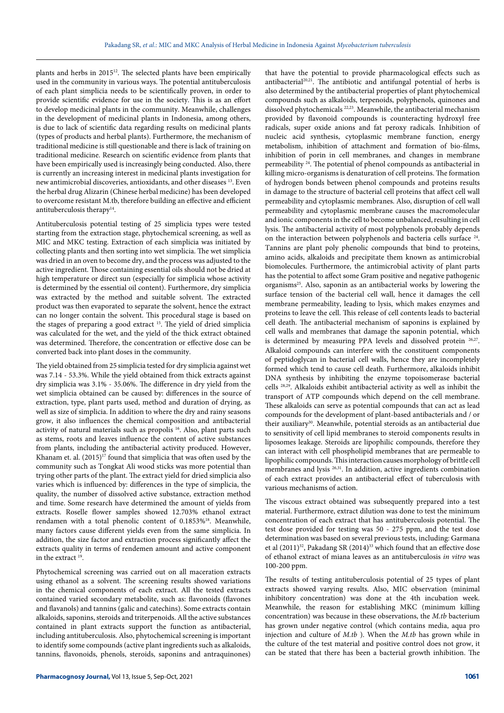plants and herbs in 2015<sup>12</sup>. The selected plants have been empirically used in the community in various ways. The potential antituberculosis of each plant simplicia needs to be scientifically proven, in order to provide scientific evidence for use in the society. This is as an effort to develop medicinal plants in the community. Meanwhile, challenges in the development of medicinal plants in Indonesia, among others, is due to lack of scientific data regarding results on medicinal plants (types of products and herbal plants). Furthermore, the mechanism of traditional medicine is still questionable and there is lack of training on traditional medicine. Research on scientific evidence from plants that have been empirically used is increasingly being conducted. Also, there is currently an increasing interest in medicinal plants investigation for new antimicrobial discoveries, antioxidants, and other diseases 13. Even the herbal drug Alizarin (Chinese herbal medicine) has been developed to overcome resistant M.tb, therefore building an effective and efficient antituberculosis therapy<sup>14</sup>.

Antituberculosis potential testing of 25 simplicia types were tested starting from the extraction stage, phytochemical screening, as well as MIC and MKC testing. Extraction of each simplicia was initiated by collecting plants and then sorting into wet simplicia. The wet simplicia was dried in an oven to become dry, and the process was adjusted to the active ingredient. Those containing essential oils should not be dried at high temperature or direct sun (especially for simplicia whose activity is determined by the essential oil content). Furthermore, dry simplicia was extracted by the method and suitable solvent. The extracted product was then evaporated to separate the solvent, hence the extract can no longer contain the solvent. This procedural stage is based on the stages of preparing a good extract 15. The yield of dried simplicia was calculated for the wet, and the yield of the thick extract obtained was determined. Therefore, the concentration or effective dose can be converted back into plant doses in the community.

The yield obtained from 25 simplicia tested for dry simplicia against wet was 7.14 - 53.3%. While the yield obtained from thick extracts against dry simplicia was 3.1% - 35.06%. The difference in dry yield from the wet simplicia obtained can be caused by: differences in the source of extraction, type, plant parts used, method and duration of drying, as well as size of simplicia. In addition to where the dry and rainy seasons grow, it also influences the chemical composition and antibacterial activity of natural materials such as propolis <sup>16</sup>. Also, plant parts such as stems, roots and leaves influence the content of active substances from plants, including the antibacterial activity produced. However, Khanam et. al.  $(2015)^{17}$  found that simplicia that was often used by the community such as Tongkat Ali wood sticks was more potential than trying other parts of the plant. The extract yield for dried simplicia also varies which is influenced by: differences in the type of simplicia, the quality, the number of dissolved active substance, extraction method and time. Some research have determined the amount of yields from extracts. Roselle flower samples showed 12.703% ethanol extract rendamen with a total phenolic content of 0.1853%18. Meanwhile, many factors cause different yields even from the same simplicia. In addition, the size factor and extraction process significantly affect the extracts quality in terms of rendemen amount and active component in the extract 19.

Phytochemical screening was carried out on all maceration extracts using ethanol as a solvent. The screening results showed variations in the chemical components of each extract. All the tested extracts contained varied secondary metabolite, such as: flavonoids (flavones and flavanols) and tannins (galic and catechins). Some extracts contain alkaloids, saponins, steroids and triterpenoids. All the active substances contained in plant extracts support the function as antibacterial, including antituberculosis. Also, phytochemical screening is important to identify some compounds (active plant ingredients such as alkaloids, tannins, flavonoids, phenols, steroids, saponins and antraquinones)

that have the potential to provide pharmacological effects such as antibacterial<sup>20,21</sup>. The antibiotic and antifungal potential of herbs is also determined by the antibacterial properties of plant phytochemical compounds such as alkaloids, terpenoids, polyphenols, quinones and dissolved phytochemicals 22,23. Meanwhile, the antibacterial mechanism provided by flavonoid compounds is counteracting hydroxyl free radicals, super oxide anions and fat peroxy radicals. Inhibition of nucleic acid synthesis, cytoplasmic membrane function, energy metabolism, inhibition of attachment and formation of bio-films, inhibition of porin in cell membranes, and changes in membrane permeability 24. The potential of phenol compounds as antibacterial in killing micro-organisms is denaturation of cell proteins. The formation of hydrogen bonds between phenol compounds and proteins results in damage to the structure of bacterial cell proteins that affect cell wall permeability and cytoplasmic membranes. Also, disruption of cell wall permeability and cytoplasmic membrane causes the macromolecular and ionic components in the cell to become unbalanced, resulting in cell lysis. The antibacterial activity of most polyphenols probably depends on the interaction between polyphenols and bacteria cells surface <sup>24</sup>. Tannins are plant poly phenolic compounds that bind to proteins, amino acids, alkaloids and precipitate them known as antimicrobial biomolecules. Furthermore, the antimicrobial activity of plant parts has the potential to affect some Gram positive and negative pathogenic organisms25. Also, saponin as an antibacterial works by lowering the surface tension of the bacterial cell wall, hence it damages the cell membrane permeability, leading to lysis, which makes enzymes and proteins to leave the cell. This release of cell contents leads to bacterial cell death. The antibacterial mechanism of saponins is explained by cell walls and membranes that damage the saponin potential, which is determined by measuring PPA levels and dissolved protein 26,27. Alkaloid compounds can interfere with the constituent components of peptidoglycan in bacterial cell walls, hence they are incompletely formed which tend to cause cell death. Furthermore, alkaloids inhibit DNA synthesis by inhibiting the enzyme topoisomerase bacterial cells 28,29. Alkaloids exhibit antibacterial activity as well as inhibit the transport of ATP compounds which depend on the cell membrane. These alkaloids can serve as potential compounds that can act as lead compounds for the development of plant-based antibacterials and / or their auxiliary<sup>30</sup>. Meanwhile, potential steroids as an antibacterial due to sensitivity of cell lipid membranes to steroid components results in liposomes leakage. Steroids are lipophilic compounds, therefore they can interact with cell phospholipid membranes that are permeable to lipophilic compounds. This interaction causes morphology of brittle cell membranes and lysis <sup>26,31</sup>. In addition, active ingredients combination of each extract provides an antibacterial effect of tuberculosis with various mechanisms of action.

The viscous extract obtained was subsequently prepared into a test material. Furthermore, extract dilution was done to test the minimum concentration of each extract that has antituberculosis potential. The test dose provided for testing was 50 - 275 ppm, and the test dose determination was based on several previous tests, including: Garmana et al (2011)<sup>32</sup>, Pakadang SR (2014)<sup>33</sup> which found that an effective dose of ethanol extract of miana leaves as an antituberculosis *in vitro* was 100-200 ppm.

The results of testing antituberculosis potential of 25 types of plant extracts showed varying results. Also, MIC observation (minimal inhibitory concentration) was done at the 4th incubation week. Meanwhile, the reason for establishing MKC (minimum killing concentration) was because in these observations, the *M.tb* bacterium has grown under negative control (which contains media, aqua pro injection and culture of *M.tb* ). When the *M.tb* has grown while in the culture of the test material and positive control does not grow, it can be stated that there has been a bacterial growth inhibition. The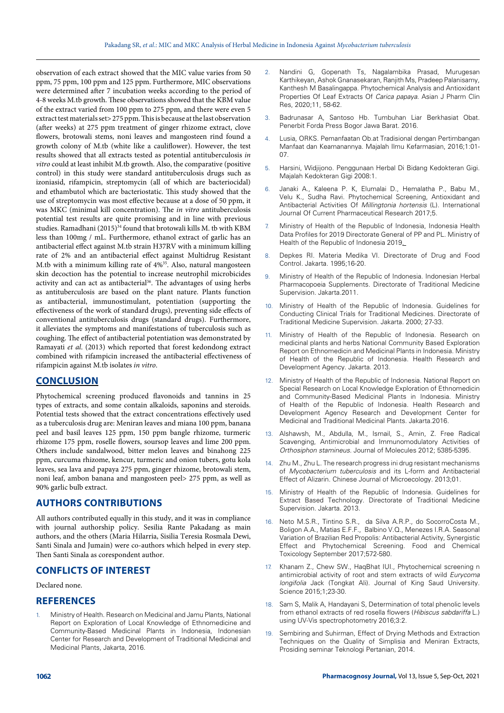observation of each extract showed that the MIC value varies from 50 ppm, 75 ppm, 100 ppm and 125 ppm. Furthermore, MIC observations were determined after 7 incubation weeks according to the period of 4-8 weeks M.tb growth. These observations showed that the KBM value of the extract varied from 100 ppm to 275 ppm, and there were even 5 extract test materials set> 275 ppm. This is because at the last observation (after weeks) at 275 ppm treatment of ginger rhizome extract, clove flowers, brotowali stems, noni leaves and mangosteen rind found a growth colony of M.tb (white like a cauliflower). However, the test results showed that all extracts tested as potential antituberculosis *in vitro* could at least inhibit M.tb growth. Also, the comparative (positive control) in this study were standard antituberculosis drugs such as izoniasid, rifampicin, streptomycin (all of which are bacteriocidal) and ethambutol which are bacteriostatic. This study showed that the use of streptomycin was most effective because at a dose of 50 ppm, it was MKC (minimal kill concentration). The *in vitro* antituberculosis potential test results are quite promising and in line with previous studies. Ramadhani  $(2015)^{34}$  found that brotowali kills M, tb with KBM less than 100mg / mL. Furthermore, ethanol extract of garlic has an antibacterial effect against M.tb strain H37RV with a minimum killing rate of 2% and an antibacterial effect against Multidrug Resistant M.tb with a minimum killing rate of 4%35. Also, natural mangosteen skin decoction has the potential to increase neutrophil microbicides activity and can act as antibacterial<sup>36</sup>. The advantages of using herbs as antituberculosis are based on the plant nature. Plants function as antibacterial, immunostimulant, potentiation (supporting the effectiveness of the work of standard drugs), preventing side effects of conventional antituberculosis drugs (standard drugs). Furthermore, it alleviates the symptoms and manifestations of tuberculosis such as coughing. The effect of antibacterial potentiation was demonstrated by Ramayati *et al*. (2013) which reported that forest kedondong extract combined with rifampicin increased the antibacterial effectiveness of rifampicin against M.tb isolates *in vitro*.

### **CONCLUSION**

Phytochemical screening produced flavonoids and tannins in 25 types of extracts, and some contain alkaloids, saponins and steroids. Potential tests showed that the extract concentrations effectively used as a tuberculosis drug are: Meniran leaves and miana 100 ppm, banana peel and basil leaves 125 ppm, 150 ppm bangle rhizome, turmeric rhizome 175 ppm, roselle flowers, soursop leaves and lime 200 ppm. Others include sandalwood, bitter melon leaves and binahong 225 ppm, curcuma rhizome, kencur, turmeric and onion tubers, gotu kola leaves, sea lava and papaya 275 ppm, ginger rhizome, brotowali stem, noni leaf, ambon banana and mangosteen peel> 275 ppm, as well as 90% garlic bulb extract.

## **AUTHORS CONTRIBUTIONS**

All authors contributed equally in this study, and it was in compliance with journal authorship policy. Sesilia Rante Pakadang as main authors, and the others (Maria Hilarria, Sisilia Teresia Rosmala Dewi, Santi Sinala and Jumain) were co-authors which helped in every step. Then Santi Sinala as corespondent author.

## **CONFLICTS OF INTEREST**

#### Declared none.

### **REFERENCES**

1. Ministry of Health. Research on Medicinal and Jamu Plants, National Report on Exploration of Local Knowledge of Ethnomedicine and Community-Based Medicinal Plants in Indonesia, Indonesian Center for Research and Development of Traditional Medicinal and Medicinal Plants, Jakarta, 2016.

- 2. Nandini G, Gopenath Ts, Nagalambika Prasad, Murugesan Karthikeyan, Ashok Gnanasekaran, Ranjith Ms, Pradeep Palanisamy, Kanthesh M Basalingappa. Phytochemical Analysis and Antioxidant Properties Of Leaf Extracts Of *Carica papaya*. Asian J Pharm Clin Res, 2020;11, 58-62.
- 3. Badrunasar A, Santoso Hb. Tumbuhan Liar Berkhasiat Obat. Penerbit Forda Press Bogor Jawa Barat. 2016.
- 4. Lusia, ORKS. Pemanfaatan Ob.at Tradisional dengan Pertimbangan Manfaat dan Keamanannya. Majalah Ilmu Kefarmasian, 2016;1:01- 07.
- 5. Harsini, Widjijono. Penggunaan Herbal Di Bidang Kedokteran Gigi. [Majalah Kedokteran Gigi 2008:1](http://i-lib.ugm.ac.id/jurnal/jurnal.php?jrnlId=1494).
- 6. Janaki A., Kaleena P. K, Elumalai D., Hemalatha P., Babu M., Velu K., Sudha Ravi. Phytochemical Screening, Antioxidant and Antibacterial Activities Of *Millingtonia hortensis* (L). International Journal Of Current Pharmaceutical Research 2017;5.
- 7. Ministry of Health of the Republic of Indonesia, Indonesia Health Data Profiles for 2019 Directorate General of PP and PL. Ministry of Health of the Republic of Indonesia 2019.
- 8. Depkes RI. Materia Medika VI. Directorate of Drug and Food Control. Jakarta. 1995;16-20.
- 9. Ministry of Health of the Republic of Indonesia. Indonesian Herbal Pharmacopoeia Supplements. Directorate of Traditional Medicine Supervision. Jakarta.2011.
- 10. Ministry of Health of the Republic of Indonesia. Guidelines for Conducting Clinical Trials for Traditional Medicines. Directorate of Traditional Medicine Supervision. Jakarta. 2000; 27-33.
- Ministry of Health of the Republic of Indonesia. Research on medicinal plants and herbs National Community Based Exploration Report on Ethnomedicin and Medicinal Plants in Indonesia. Ministry of Health of the Republic of Indonesia. Health Research and Development Agency. Jakarta. 2013.
- 12. Ministry of Health of the Republic of Indonesia. National Report on Special Research on Local Knowledge Exploration of Ethnomedicin and Community-Based Medicinal Plants in Indonesia. Ministry of Health of the Republic of Indonesia. Health Research and Development Agency Research and Development Center for Medicinal and Traditional Medicinal Plants. Jakarta.2016.
- 13. Alshawsh, M., Abdulla, M., Ismail, S., Amin, Z. Free Radical Scavenging, Antimicrobial and Immunomodulatory Activities of *Orthosiphon stamineus*. Journal of Molecules 2012; 5385-5395.
- 14. Zhu M., Zhu L. The research progress ini drug resistant mechanisms of *Mycobacterium tuberculosis* and its L-form and Antibacterial Effect of Alizarin. Chinese Journal of Microecology. 2013;01.
- 15. Ministry of Health of the Republic of Indonesia. Guidelines for Extract Based Technology. Directorate of Traditional Medicine Supervision. Jakarta. 2013.
- 16. Neto [M.S.R., Tintino S.R., da Silva A.R.P., do SocorroCosta M.,](https://www.sciencedirect.com/science/article/pii/S0278691517301503#!)  [Boligon A.A.,](https://www.sciencedirect.com/science/article/pii/S0278691517301503#!) Matias [E.F.F.,](https://www.sciencedirect.com/science/article/pii/S0278691517301503#!) [Balbino V.Q., Menezes I.R.A. S](https://www.sciencedirect.com/science/article/pii/S0278691517301503#!)easonal Variation of Brazilian Red Propolis: Antibacterial Activity, Synergistic Effect and Phytochemical Screening. [Food and Chemical](https://www.sciencedirect.com/science/journal/02786915)  [Toxicology](https://www.sciencedirect.com/science/journal/02786915) September 2017;572-580.
- 17. Khanam Z., Chew SW., HaqBhat IUI., Phytochemical screening n antimicrobial activity of root and stem extracts of wild *Eurycoma longifolia* Jack (Tongkat Ali). Journal of King Saud University. Science 2015;1;23-30.
- 18. Sam S, Malik A, Handayani S, Determination of total phenolic levels from ethanol extracts of red rosella flowers (*Hibiscus sabdariffa* L.) using UV-Vis spectrophotometry [2016](http://jurnal.farmasi.umi.ac.id/index.php/fitofarmakaindo/issue/view/27);3:2.
- 19. Sembiring and Suhirman, Effect of Drying Methods and Extraction Techniques on the Quality of Simplisia and Meniran Extracts, Prosiding seminar Teknologi Pertanian, 2014.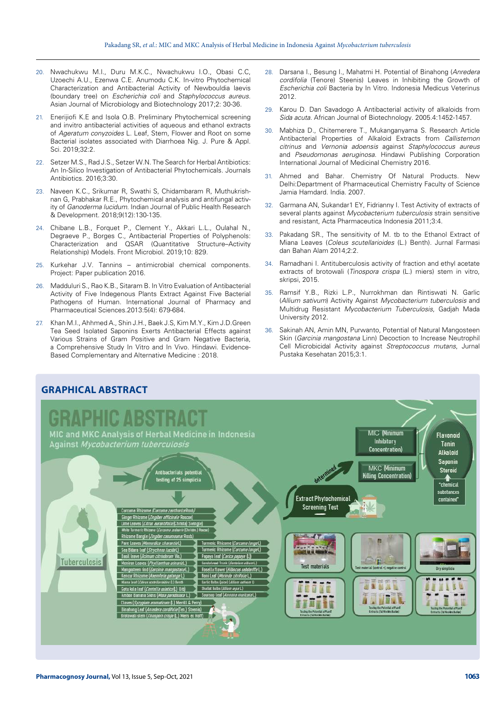- 20. Nwachukwu M.I., Duru M.K.C., Nwachukwu I.O., Obasi C.C, Uzoechi A.U., Ezenwa C.E. Anumodu C.K. In-vitro Phytochemical Characterization and Antibacterial Activity of Newbouldia laevis (boundary tree) on *Escherichia coli* and *Staphylococcus aureus*. Asian Journal of Microbiology and Biotechnology 2017;2: 30-36.
- 21. Enerijiofi K.E and Isola O.B. Preliminary Phytochemical screening and invitro antibacterial activities of aqueous and ethanol extracts of *Ageratum conyzoides* L. Leaf, Stem, Flower and Root on some Bacterial isolates associated with Diarrhoea Nig. J. Pure & Appl. Sci. 2019;32:2.
- 22. Setzer M.S., Rad J.S., Setzer W.N. The Search for Herbal Antibiotics: An In-Silico Investigation of Antibacterial Phytochemicals. Journals Antibiotics. 2016;3:30.
- 23. Naveen K.C., Srikumar R, Swathi S, Chidambaram R, Muthukrishnan G, Prabhakar R.E., Phytochemical analysis and antifungal activity of *Ganoderma lucidum*. Indian Journal of Public Health Research & Development. 2018;9(12):130-135.
- 24. Chibane L.B., Forquet P., Clement Y., Akkari L.L., Oulahal N., Degraeve P., Borges C., Antibacterial Properties of Polyphenols: Characterization and QSAR (Quantitative Structure–Activity Relationship) Models. [Front Microbiol](https://www.ncbi.nlm.nih.gov/pmc/articles/PMC6482321/). 2019;10: 829.
- 25. Kurkehar J.V. Tannins antimicrobial chemical components. Project: [Paper publication](https://www.researchgate.net/project/Paper-publication-2) 2016.
- 26. Madduluri S., Rao K.B., Sitaram B. In Vitro Evaluation of Antibacterial Activity of Five Indegenous Plants Extract Against Five Bacterial Pathogens of Human. International Journal of Pharmacy and Pharmaceutical Sciences.2013:5(4): 679-684.
- 27. Khan M.I., Ahhmed A., Shin J.H., Baek J.S, Kim M.Y., Kim J.D.Green Tea Seed Isolated Saponins Exerts Antibacterial Effects against Various Strains of Gram Positive and Gram Negative Bacteria, a Comprehensive Study In Vitro and In Vivo. Hindawi. Evidence-Based Complementary and Alternative Medicine : 2018.
- 28. Darsana I., Besung I., Mahatmi H. Potential of Binahong (*Anredera cordifolia* (Tenore) Steenis) Leaves in Inhibiting the Growth of *Escherichia coli* Bacteria by In Vitro. Indonesia Medicus Veterinus 2012.
- 29. Karou D. Dan Savadogo A Antibacterial activity of alkaloids from *Sida acuta*. African Journal of Biotechnology. 2005.4:1452-1457.
- 30. Mabhiza D., Chitemerere T., Mukanganyama S. Research Article Antibacterial Properties of Alkaloid Extracts from *Callistemon citrinus* and *Vernonia adoensis* against *Staphylococcus aureus* and *Pseudomonas aeruginosa*. Hindawi Publishing Corporation International Journal of Medicinal Chemistry 2016.
- 31. Ahmed and Bahar. Chemistry Of Natural Products. New Delhi:Department of Pharmaceutical Chemistry Faculty of Science Jamia Hamdard. India. 2007.
- 32. Garmana AN, Sukandar1 EY, Fidrianny I. Test Activity of extracts of several plants against *Mycobacterium tuberculosis* strain sensitive and resistant, Acta Pharmaceutica Indonesia 2011;3:4.
- 33. Pakadang SR., The sensitivity of M. tb to the Ethanol Extract of Miana Leaves (*Coleus scutellarioides* (L.) Benth). Jurnal Farmasi dan Bahan Alam 2014;2:2.
- 34. Ramadhani I. Antituberculosis activity of fraction and ethyl acetate extracts of brotowali (*Tinospora crispa* (L.) miers) stem in vitro, skripsi, 2015.
- 35. Ramsif Y.B., Rizki L.P., Nurrokhman dan Rintiswati N. Garlic (*Allium sativum*) Activity Against *Mycobacterium tuberculosis* and Multidrug Resistant *Mycobacterium Tuberculosis*, Gadjah Mada University 2012.
- Sakinah AN, Amin MN, Purwanto, Potential of Natural Mangosteen Skin (*Garcinia mangostana* Linn) Decoction to Increase Neutrophil Cell Microbicidal Activity against *Streptococcus mutans*, Jurnal Pustaka Kesehatan 2015;3:1.